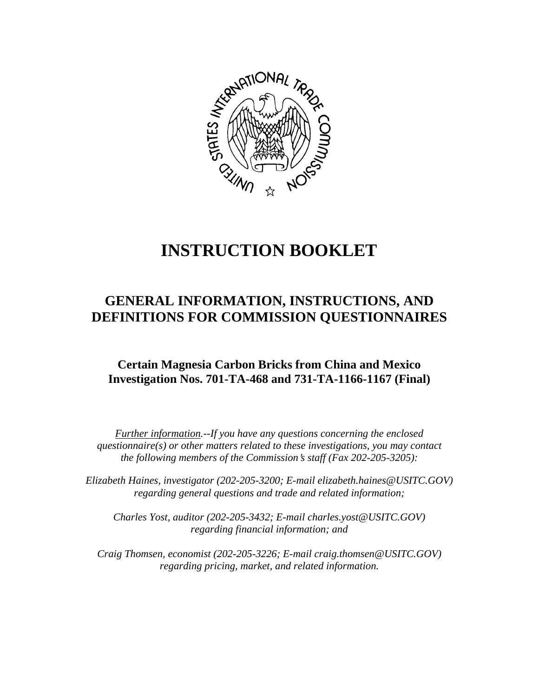

# **INSTRUCTION BOOKLET**

# **GENERAL INFORMATION, INSTRUCTIONS, AND DEFINITIONS FOR COMMISSION QUESTIONNAIRES**

# **Certain Magnesia Carbon Bricks from China and Mexico Investigation Nos. 701-TA-468 and 731-TA-1166-1167 (Final)**

*Further information.--If you have any questions concerning the enclosed questionnaire(s) or other matters related to these investigations, you may contact the following members of the Commission's staff (Fax 202-205-3205):* 

 *Elizabeth Haines, investigator (202-205-3200; E-mail elizabeth.haines@USITC.GOV) regarding general questions and trade and related information;* 

 *Charles Yost, auditor (202-205-3432; E-mail charles.yost@USITC.GOV) regarding financial information; and* 

 *Craig Thomsen, economist (202-205-3226; E-mail craig.thomsen@USITC.GOV) regarding pricing, market, and related information.*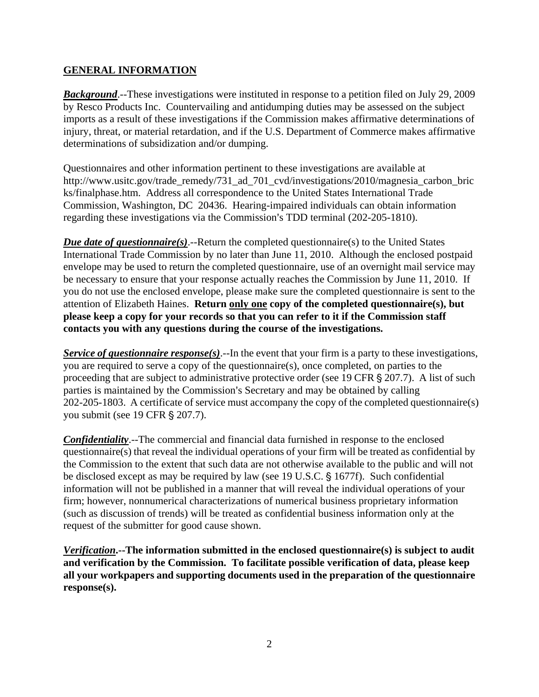# **GENERAL INFORMATION**

*Background*.--These investigations were instituted in response to a petition filed on July 29, 2009 by Resco Products Inc. Countervailing and antidumping duties may be assessed on the subject imports as a result of these investigations if the Commission makes affirmative determinations of injury, threat, or material retardation, and if the U.S. Department of Commerce makes affirmative determinations of subsidization and/or dumping.

Questionnaires and other information pertinent to these investigations are available at http://www.usitc.gov/trade\_remedy/731\_ad\_701\_cvd/investigations/2010/magnesia\_carbon\_bric ks/finalphase.htm. Address all correspondence to the United States International Trade Commission, Washington, DC 20436. Hearing-impaired individuals can obtain information regarding these investigations via the Commission's TDD terminal (202-205-1810).

*Due date of questionnaire(s)*.--Return the completed questionnaire(s) to the United States International Trade Commission by no later than June 11, 2010. Although the enclosed postpaid envelope may be used to return the completed questionnaire, use of an overnight mail service may be necessary to ensure that your response actually reaches the Commission by June 11, 2010. If you do not use the enclosed envelope, please make sure the completed questionnaire is sent to the attention of Elizabeth Haines. **Return only one copy of the completed questionnaire(s), but please keep a copy for your records so that you can refer to it if the Commission staff contacts you with any questions during the course of the investigations.**

*Service of questionnaire response(s)*.--In the event that your firm is a party to these investigations, you are required to serve a copy of the questionnaire(s), once completed, on parties to the proceeding that are subject to administrative protective order (see 19 CFR  $\S 207.7$ ). A list of such parties is maintained by the Commission's Secretary and may be obtained by calling 202-205-1803. A certificate of service must accompany the copy of the completed questionnaire(s) you submit (see 19 CFR § 207.7).

*Confidentiality*.--The commercial and financial data furnished in response to the enclosed questionnaire(s) that reveal the individual operations of your firm will be treated as confidential by the Commission to the extent that such data are not otherwise available to the public and will not be disclosed except as may be required by law (see 19 U.S.C.  $\S$  1677f). Such confidential information will not be published in a manner that will reveal the individual operations of your firm; however, nonnumerical characterizations of numerical business proprietary information (such as discussion of trends) will be treated as confidential business information only at the request of the submitter for good cause shown.

*Verification***.--The information submitted in the enclosed questionnaire(s) is subject to audit and verification by the Commission. To facilitate possible verification of data, please keep all your workpapers and supporting documents used in the preparation of the questionnaire response(s).**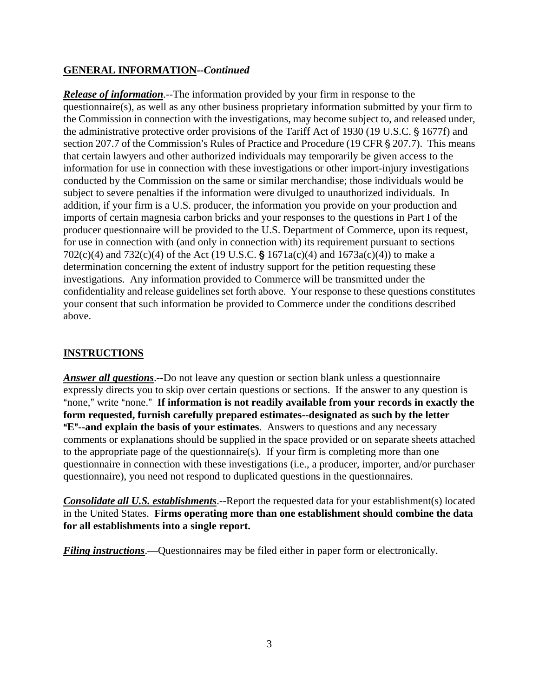# **GENERAL INFORMATION--***Continued*

*Release of information*.--The information provided by your firm in response to the questionnaire(s), as well as any other business proprietary information submitted by your firm to the Commission in connection with the investigations, may become subject to, and released under, the administrative protective order provisions of the Tariff Act of 1930 (19 U.S.C. § 1677f) and section 207.7 of the Commission's Rules of Practice and Procedure (19 CFR  $\S$  207.7). This means that certain lawyers and other authorized individuals may temporarily be given access to the information for use in connection with these investigations or other import-injury investigations conducted by the Commission on the same or similar merchandise; those individuals would be subject to severe penalties if the information were divulged to unauthorized individuals. In addition, if your firm is a U.S. producer, the information you provide on your production and imports of certain magnesia carbon bricks and your responses to the questions in Part I of the producer questionnaire will be provided to the U.S. Department of Commerce, upon its request, for use in connection with (and only in connection with) its requirement pursuant to sections 702(c)(4) and 732(c)(4) of the Act (19 U.S.C. § 1671a(c)(4) and 1673a(c)(4)) to make a determination concerning the extent of industry support for the petition requesting these investigations. Any information provided to Commerce will be transmitted under the confidentiality and release guidelines set forth above. Your response to these questions constitutes your consent that such information be provided to Commerce under the conditions described above.

# **INSTRUCTIONS**

*Answer all questions*.--Do not leave any question or section blank unless a questionnaire expressly directs you to skip over certain questions or sections. If the answer to any question is "none," write "none." If information is not readily available from your records in exactly the **form requested, furnish carefully prepared estimates--designated as such by the letter E<sup>"</sup>--and explain the basis of your estimates**. Answers to questions and any necessary comments or explanations should be supplied in the space provided or on separate sheets attached to the appropriate page of the questionnaire(s). If your firm is completing more than one questionnaire in connection with these investigations (i.e., a producer, importer, and/or purchaser questionnaire), you need not respond to duplicated questions in the questionnaires.

*Consolidate all U.S. establishments*.--Report the requested data for your establishment(s) located in the United States. **Firms operating more than one establishment should combine the data for all establishments into a single report.**

*Filing instructions*.—Questionnaires may be filed either in paper form or electronically.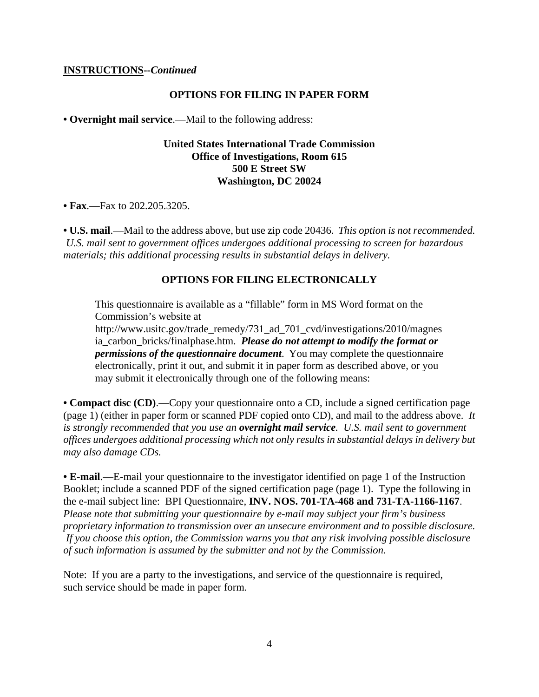#### **INSTRUCTIONS--***Continued*

#### **OPTIONS FOR FILING IN PAPER FORM**

**• Overnight mail service**.—Mail to the following address:

### **United States International Trade Commission Office of Investigations, Room 615 500 E Street SW Washington, DC 20024**

**• Fax**.—Fax to 202.205.3205.

**• U.S. mail**.—Mail to the address above, but use zip code 20436. *This option is not recommended. U.S. mail sent to government offices undergoes additional processing to screen for hazardous materials; this additional processing results in substantial delays in delivery.* 

#### **OPTIONS FOR FILING ELECTRONICALLY**

This questionnaire is available as a "fillable" form in MS Word format on the Commission's website at

http://www.usitc.gov/trade\_remedy/731\_ad\_701\_cvd/investigations/2010/magnes ia\_carbon\_bricks/finalphase.htm. *Please do not attempt to modify the format or permissions of the questionnaire document*. You may complete the questionnaire electronically, print it out, and submit it in paper form as described above, or you may submit it electronically through one of the following means:

**• Compact disc (CD)**.—Copy your questionnaire onto a CD, include a signed certification page (page 1) (either in paper form or scanned PDF copied onto CD), and mail to the address above. *It is strongly recommended that you use an overnight mail service. U.S. mail sent to government offices undergoes additional processing which not only results in substantial delays in delivery but may also damage CDs.* 

**• E-mail**.—E-mail your questionnaire to the investigator identified on page 1 of the Instruction Booklet; include a scanned PDF of the signed certification page (page 1). Type the following in the e-mail subject line: BPI Questionnaire, **INV. NOS. 701-TA-468 and 731-TA-1166-1167**. *Please note that submitting your questionnaire by e-mail may subject your firm's business proprietary information to transmission over an unsecure environment and to possible disclosure. If you choose this option, the Commission warns you that any risk involving possible disclosure of such information is assumed by the submitter and not by the Commission.* 

Note: If you are a party to the investigations, and service of the questionnaire is required, such service should be made in paper form.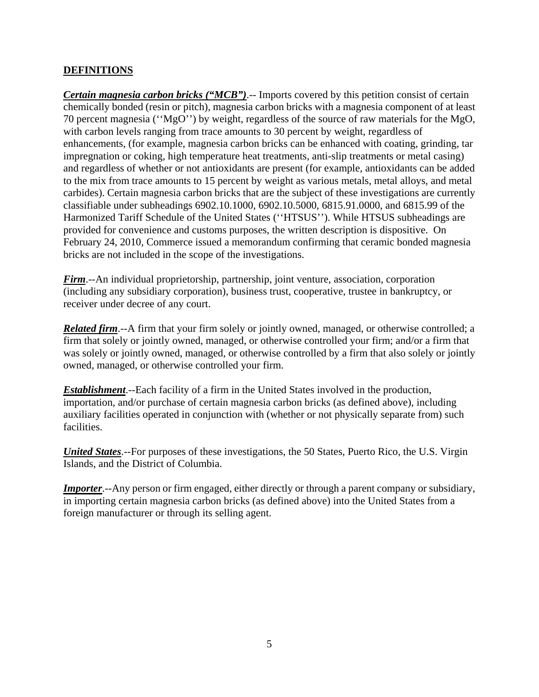# **DEFINITIONS**

*Certain magnesia carbon bricks ("MCB")*.-- Imports covered by this petition consist of certain chemically bonded (resin or pitch), magnesia carbon bricks with a magnesia component of at least 70 percent magnesia (''MgO'') by weight, regardless of the source of raw materials for the MgO, with carbon levels ranging from trace amounts to 30 percent by weight, regardless of enhancements, (for example, magnesia carbon bricks can be enhanced with coating, grinding, tar impregnation or coking, high temperature heat treatments, anti-slip treatments or metal casing) and regardless of whether or not antioxidants are present (for example, antioxidants can be added to the mix from trace amounts to 15 percent by weight as various metals, metal alloys, and metal carbides). Certain magnesia carbon bricks that are the subject of these investigations are currently classifiable under subheadings 6902.10.1000, 6902.10.5000, 6815.91.0000, and 6815.99 of the Harmonized Tariff Schedule of the United States (''HTSUS''). While HTSUS subheadings are provided for convenience and customs purposes, the written description is dispositive. On February 24, 2010, Commerce issued a memorandum confirming that ceramic bonded magnesia bricks are not included in the scope of the investigations.

*Firm*.--An individual proprietorship, partnership, joint venture, association, corporation (including any subsidiary corporation), business trust, cooperative, trustee in bankruptcy, or receiver under decree of any court.

*Related firm*.--A firm that your firm solely or jointly owned, managed, or otherwise controlled; a firm that solely or jointly owned, managed, or otherwise controlled your firm; and/or a firm that was solely or jointly owned, managed, or otherwise controlled by a firm that also solely or jointly owned, managed, or otherwise controlled your firm.

*Establishment*.--Each facility of a firm in the United States involved in the production, importation, and/or purchase of certain magnesia carbon bricks (as defined above), including auxiliary facilities operated in conjunction with (whether or not physically separate from) such facilities.

*United States*.--For purposes of these investigations, the 50 States, Puerto Rico, the U.S. Virgin Islands, and the District of Columbia.

*Importer*.--Any person or firm engaged, either directly or through a parent company or subsidiary, in importing certain magnesia carbon bricks (as defined above) into the United States from a foreign manufacturer or through its selling agent.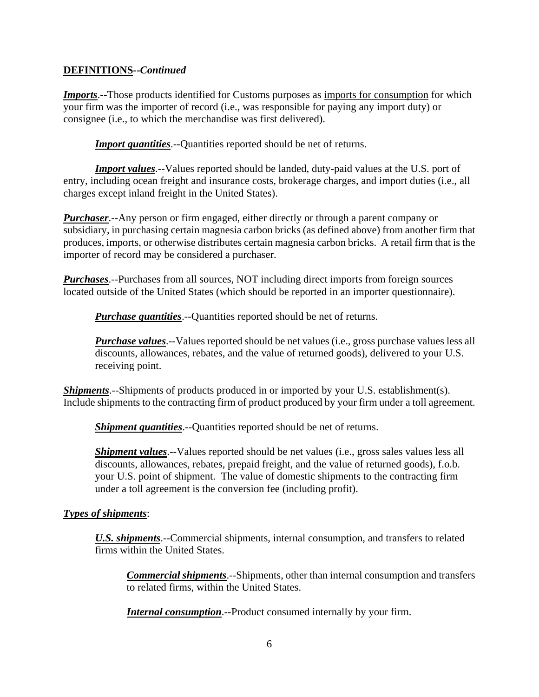# **DEFINITIONS--***Continued*

*Imports*.--Those products identified for Customs purposes as imports for consumption for which your firm was the importer of record (i.e., was responsible for paying any import duty) or consignee (i.e., to which the merchandise was first delivered).

**Import quantities**.--Quantities reported should be net of returns.

*Import values*.--Values reported should be landed, duty-paid values at the U.S. port of entry, including ocean freight and insurance costs, brokerage charges, and import duties (i.e., all charges except inland freight in the United States).

*Purchaser*.--Any person or firm engaged, either directly or through a parent company or subsidiary, in purchasing certain magnesia carbon bricks (as defined above) from another firm that produces, imports, or otherwise distributes certain magnesia carbon bricks. A retail firm that is the importer of record may be considered a purchaser.

*Purchases*.--Purchases from all sources, NOT including direct imports from foreign sources located outside of the United States (which should be reported in an importer questionnaire).

*Purchase quantities*.--Quantities reported should be net of returns.

*Purchase values*.--Values reported should be net values (i.e., gross purchase values less all discounts, allowances, rebates, and the value of returned goods), delivered to your U.S. receiving point.

*Shipments*.--Shipments of products produced in or imported by your U.S. establishment(s). Include shipments to the contracting firm of product produced by your firm under a toll agreement.

*Shipment quantities*.--Quantities reported should be net of returns.

*Shipment values*.--Values reported should be net values (*i.e.*, gross sales values less all discounts, allowances, rebates, prepaid freight, and the value of returned goods), f.o.b. your U.S. point of shipment. The value of domestic shipments to the contracting firm under a toll agreement is the conversion fee (including profit).

# *Types of shipments*:

*U.S. shipments*.--Commercial shipments, internal consumption, and transfers to related firms within the United States.

*Commercial shipments*.--Shipments, other than internal consumption and transfers to related firms, within the United States.

*Internal consumption*.--Product consumed internally by your firm.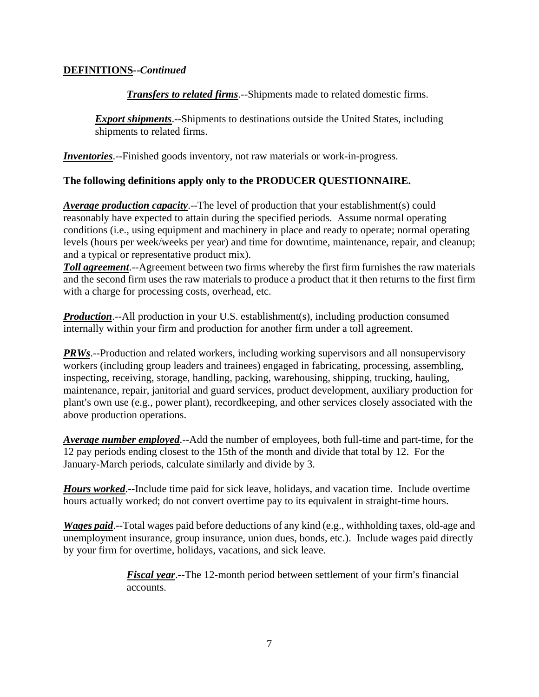# **DEFINITIONS--***Continued*

*Transfers to related firms*.--Shipments made to related domestic firms.

**Export shipments**.--Shipments to destinations outside the United States, including shipments to related firms.

*Inventories*.--Finished goods inventory, not raw materials or work-in-progress.

# **The following definitions apply only to the PRODUCER QUESTIONNAIRE.**

*Average production capacity*.--The level of production that your establishment(s) could reasonably have expected to attain during the specified periods. Assume normal operating conditions (i.e., using equipment and machinery in place and ready to operate; normal operating levels (hours per week/weeks per year) and time for downtime, maintenance, repair, and cleanup; and a typical or representative product mix).

*Toll agreement*.--Agreement between two firms whereby the first firm furnishes the raw materials and the second firm uses the raw materials to produce a product that it then returns to the first firm with a charge for processing costs, overhead, etc.

*Production*.--All production in your U.S. establishment(s), including production consumed internally within your firm and production for another firm under a toll agreement.

*PRWs*.--Production and related workers, including working supervisors and all nonsupervisory workers (including group leaders and trainees) engaged in fabricating, processing, assembling, inspecting, receiving, storage, handling, packing, warehousing, shipping, trucking, hauling, maintenance, repair, janitorial and guard services, product development, auxiliary production for plant's own use (e.g., power plant), recordkeeping, and other services closely associated with the above production operations.

*Average number employed*.--Add the number of employees, both full-time and part-time, for the 12 pay periods ending closest to the 15th of the month and divide that total by 12. For the January-March periods, calculate similarly and divide by 3.

*Hours worked*.--Include time paid for sick leave, holidays, and vacation time. Include overtime hours actually worked; do not convert overtime pay to its equivalent in straight-time hours.

*Wages paid*.--Total wages paid before deductions of any kind (e.g., withholding taxes, old-age and unemployment insurance, group insurance, union dues, bonds, etc.). Include wages paid directly by your firm for overtime, holidays, vacations, and sick leave.

> *Fiscal year.*--The 12-month period between settlement of your firm's financial accounts.